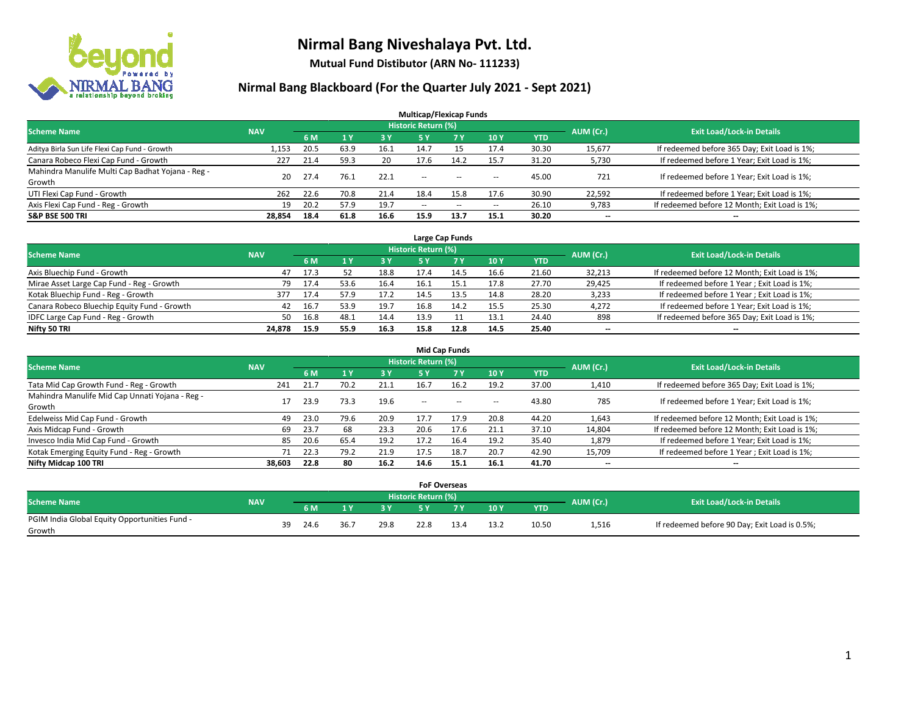

**Mutual Fund Distibutor (ARN No- 111233)**

| <b>Multicap/Flexicap Funds</b>                    |            |      |           |           |                            |            |            |            |           |                                               |  |  |  |  |
|---------------------------------------------------|------------|------|-----------|-----------|----------------------------|------------|------------|------------|-----------|-----------------------------------------------|--|--|--|--|
| <b>Scheme Name</b>                                | <b>NAV</b> |      |           |           | <b>Historic Return (%)</b> |            |            |            | AUM (Cr.) | <b>Exit Load/Lock-in Details</b>              |  |  |  |  |
|                                                   |            | 6 M  | <b>1Y</b> | <b>3Y</b> | 5 Y                        | <b>7 Y</b> | <b>10Y</b> | <b>YTD</b> |           |                                               |  |  |  |  |
| Aditya Birla Sun Life Flexi Cap Fund - Growth     | 1.153      | 20.5 | 63.9      | 16.1      | 14.7                       | 15         | 17.4       | 30.30      | 15,677    | If redeemed before 365 Day; Exit Load is 1%;  |  |  |  |  |
| Canara Robeco Flexi Cap Fund - Growth             | 227        | 21.4 | 59.3      | 20        | 17.6                       | 14.2       | 15.7       | 31.20      | 5,730     | If redeemed before 1 Year; Exit Load is 1%;   |  |  |  |  |
| Mahindra Manulife Multi Cap Badhat Yojana - Reg - | 20         | 27.4 | 76.1      | 22.1      | $\sim$ $\sim$              | $- -$      |            | 45.00      | 721       | If redeemed before 1 Year; Exit Load is 1%;   |  |  |  |  |
| Growth                                            |            |      |           |           |                            |            | --         |            |           |                                               |  |  |  |  |
| UTI Flexi Cap Fund - Growth                       | 262        | 22.6 | 70.8      | 21.4      | 18.4                       | 15.8       | 17.6       | 30.90      | 22,592    | If redeemed before 1 Year; Exit Load is 1%;   |  |  |  |  |
| Axis Flexi Cap Fund - Reg - Growth                | 19         | 20.2 | 57.9      | 19.7      | $\overline{\phantom{a}}$   | $\sim$     | --         | 26.10      | 9,783     | If redeemed before 12 Month; Exit Load is 1%; |  |  |  |  |
| <b>S&amp;P BSE 500 TRI</b>                        | 28.854     | 18.4 | 61.8      | 16.6      | 15.9                       | 13.7       | 15.1       | 30.20      | --        | $\overline{\phantom{m}}$                      |  |  |  |  |

| Large Cap Funds                             |            |      |      |      |                            |      |      |       |           |                                               |  |  |  |  |
|---------------------------------------------|------------|------|------|------|----------------------------|------|------|-------|-----------|-----------------------------------------------|--|--|--|--|
| <b>Scheme Name</b>                          | <b>NAV</b> |      |      |      | <b>Historic Return (%)</b> |      |      |       | AUM (Cr.) | <b>Exit Load/Lock-in Details</b>              |  |  |  |  |
|                                             |            | 6 M  |      | 3 Y  |                            | 7 Y  | 10Y  | YTD   |           |                                               |  |  |  |  |
| Axis Bluechip Fund - Growth                 | 47         | 17.3 | 52   | 18.8 | 17.4                       | 14.5 | 16.6 | 21.60 | 32,213    | If redeemed before 12 Month; Exit Load is 1%; |  |  |  |  |
| Mirae Asset Large Cap Fund - Reg - Growth   | 79         | 17.4 | 53.6 | 16.4 | 16.1                       |      | 17.8 | 27.70 | 29,425    | If redeemed before 1 Year; Exit Load is 1%;   |  |  |  |  |
| Kotak Bluechip Fund - Reg - Growth          | 377        | 17.4 | 57.9 | 17.2 | 14.5                       | 13.5 | 14.8 | 28.20 | 3,233     | If redeemed before 1 Year; Exit Load is 1%;   |  |  |  |  |
| Canara Robeco Bluechip Equity Fund - Growth | 42         | 16.7 | 53.9 | 19.7 | 16.8                       | 14.2 | 15.5 | 25.30 | 4,272     | If redeemed before 1 Year; Exit Load is 1%;   |  |  |  |  |
| IDFC Large Cap Fund - Reg - Growth          | 50         | 16.8 | 48.1 | 14.4 | 13.9                       |      | 13.1 | 24.40 | 898       | If redeemed before 365 Day; Exit Load is 1%;  |  |  |  |  |
| Nifty 50 TRI                                | 24.878     | 15.9 | 55.9 | 16.3 | 15.8                       | 12.8 | 14.5 | 25.40 | $- -$     | $\overline{\phantom{a}}$                      |  |  |  |  |

| <b>Mid Cap Funds</b>                            |            |      |      |      |                     |           |                          |            |           |                                               |  |  |  |  |
|-------------------------------------------------|------------|------|------|------|---------------------|-----------|--------------------------|------------|-----------|-----------------------------------------------|--|--|--|--|
| <b>Scheme Name</b>                              | <b>NAV</b> |      |      |      | Historic Return (%) |           |                          |            | AUM (Cr.) | <b>Exit Load/Lock-in Details</b>              |  |  |  |  |
|                                                 |            | 6 M  |      | 3 Y  | 5 Y                 | <b>7Y</b> | 10Y                      | <b>YTD</b> |           |                                               |  |  |  |  |
| Tata Mid Cap Growth Fund - Reg - Growth         | 241        | 21.7 | 70.2 | 21.1 | 16.7                | 16.2      | 19.2                     | 37.00      | 1,410     | If redeemed before 365 Day; Exit Load is 1%;  |  |  |  |  |
| Mahindra Manulife Mid Cap Unnati Yojana - Reg - |            | 23.9 | 73.3 | 19.6 | $-$                 | $-$       | $\overline{\phantom{a}}$ | 43.80      | 785       | If redeemed before 1 Year; Exit Load is 1%;   |  |  |  |  |
| Growth                                          |            |      |      |      |                     |           |                          |            |           |                                               |  |  |  |  |
| Edelweiss Mid Cap Fund - Growth                 | 49         | 23.0 | 79.6 | 20.9 | 17.7                | 17.9      | 20.8                     | 44.20      | 1,643     | If redeemed before 12 Month; Exit Load is 1%; |  |  |  |  |
| Axis Midcap Fund - Growth                       | 69         | 23.7 | 68   | 23.3 | 20.6                | 17.6      | 21.1                     | 37.10      | 14,804    | If redeemed before 12 Month; Exit Load is 1%; |  |  |  |  |
| Invesco India Mid Cap Fund - Growth             | 85         | 20.6 | 65.4 | 19.2 | 17.2                | 16.4      | 19.2                     | 35.40      | 1,879     | If redeemed before 1 Year; Exit Load is 1%;   |  |  |  |  |
| Kotak Emerging Equity Fund - Reg - Growth       |            | 22.3 | 79.2 | 21.9 | 17.5                | 18.7      | 20.7                     | 42.90      | 15,709    | If redeemed before 1 Year; Exit Load is 1%;   |  |  |  |  |
| Nifty Midcap 100 TRI                            | 38.603     | 22.8 | 80   | 16.2 | 14.6                | 15.1      | 16.1                     | 41.70      | $- -$     | $\overline{\phantom{a}}$                      |  |  |  |  |

|                                               |            |    |      |      |      | <b>FoF Overseas</b>        |     |      |            |           |                                               |
|-----------------------------------------------|------------|----|------|------|------|----------------------------|-----|------|------------|-----------|-----------------------------------------------|
| <b>Scheme Name</b>                            | <b>NAV</b> |    |      |      |      | <b>Historic Return (%)</b> |     |      |            |           | <b>Exit Load/Lock-in Details</b>              |
|                                               |            |    | 6 M  |      | 2V   |                            | 7 V | 10Y  | <b>YTD</b> | AUM (Cr.) |                                               |
| PGIM India Global Equity Opportunities Fund - |            | 39 | 24.6 | 36.7 | 29.8 | 22.8                       |     | 13.2 | 10.50      | 1,516     | If redeemed before 90 Day; Exit Load is 0.5%; |
| Growth                                        |            |    |      |      |      |                            |     |      |            |           |                                               |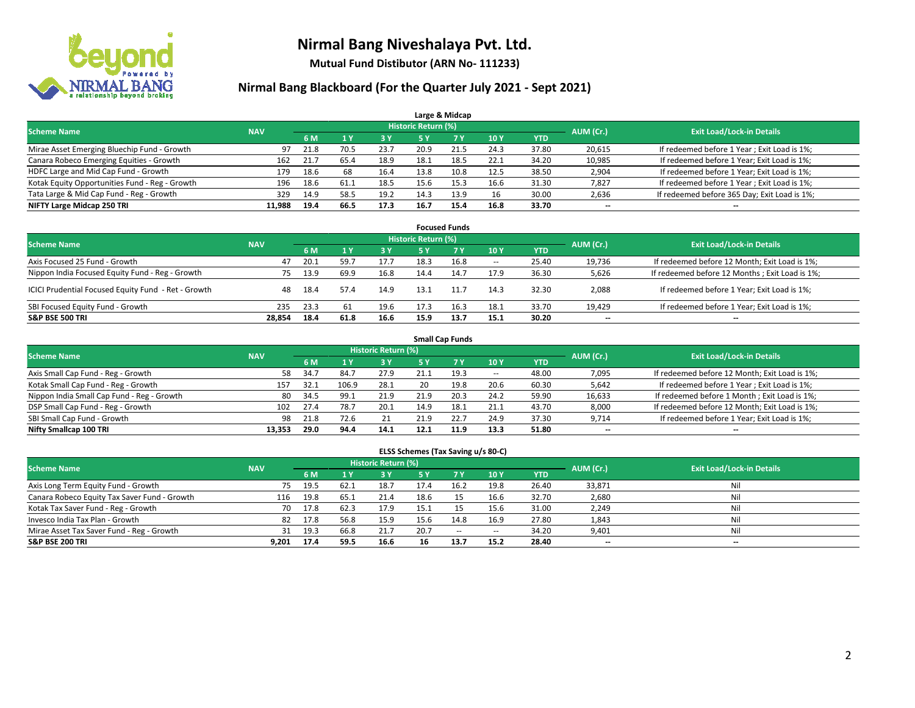

**Mutual Fund Distibutor (ARN No- 111233)**

### **Nirmal Bang Blackboard (For the Quarter July 2021 - Sept 2021)**

|                                                |            |      |      |      |                            | Large & Midcap |      |            |           |                                              |
|------------------------------------------------|------------|------|------|------|----------------------------|----------------|------|------------|-----------|----------------------------------------------|
| <b>Scheme Name</b>                             | <b>NAV</b> |      |      |      | <b>Historic Return (%)</b> |                |      |            | AUM (Cr.) | <b>Exit Load/Lock-in Details</b>             |
|                                                |            | 6 M  |      | 3 Y  | 5 Y                        | <b>7Y</b>      | 10Y  | <b>YTD</b> |           |                                              |
| Mirae Asset Emerging Bluechip Fund - Growth    | 97         | 21.8 | 70.5 | 23.7 | 20.9                       | 21.5           | 24.3 | 37.80      | 20,615    | If redeemed before 1 Year; Exit Load is 1%;  |
| Canara Robeco Emerging Equities - Growth       | 162        | 21.7 | 65.4 | 18.9 | 18.1                       | 18.5           | 22.1 | 34.20      | 10,985    | If redeemed before 1 Year; Exit Load is 1%;  |
| HDFC Large and Mid Cap Fund - Growth           | 179        | 18.6 | 68   | 16.4 | 13.8                       | 10.8           | 12.5 | 38.50      | 2,904     | If redeemed before 1 Year; Exit Load is 1%;  |
| Kotak Equity Opportunities Fund - Reg - Growth | 196        | 18.6 | 61.1 | 18.5 | 15.6                       | 15.3           | 16.6 | 31.30      | 7,827     | If redeemed before 1 Year; Exit Load is 1%;  |
| Tata Large & Mid Cap Fund - Reg - Growth       | 329        | 14.9 | 58.5 | 19.2 | 14.3                       | 13.9           | 16   | 30.00      | 2,636     | If redeemed before 365 Day; Exit Load is 1%; |
| NIFTY Large Midcap 250 TRI                     | 11.988     | 19.4 | 66.5 | 17.3 | 16.7                       | 15.4           | 16.8 | 33.70      | $- -$     | $\overline{\phantom{a}}$                     |

| <b>Focused Funds</b>                                |            |      |      |      |                            |      |                          |            |           |                                                |  |  |  |  |
|-----------------------------------------------------|------------|------|------|------|----------------------------|------|--------------------------|------------|-----------|------------------------------------------------|--|--|--|--|
| <b>Scheme Name</b>                                  | <b>NAV</b> |      |      |      | <b>Historic Return (%)</b> |      |                          |            | AUM (Cr.) | <b>Exit Load/Lock-in Details</b>               |  |  |  |  |
|                                                     |            | 6 M  |      | 3Y   | 5 Y                        | 7 Y  | <b>10Y</b>               | <b>YTD</b> |           |                                                |  |  |  |  |
| Axis Focused 25 Fund - Growth                       | 47         | 20.1 | 59.7 | 17.7 | 18.3                       | 16.8 | $\overline{\phantom{a}}$ | 25.40      | 19,736    | If redeemed before 12 Month; Exit Load is 1%;  |  |  |  |  |
| Nippon India Focused Equity Fund - Reg - Growth     | 75         | 13.9 | 69.9 | 16.8 | 14.4                       | 14.7 | 17.9                     | 36.30      | 5,626     | If redeemed before 12 Months; Exit Load is 1%; |  |  |  |  |
| ICICI Prudential Focused Equity Fund - Ret - Growth | 48         | 18.4 | 57.4 | 14.9 | 13.3                       |      | 14.3                     | 32.30      | 2,088     | If redeemed before 1 Year; Exit Load is 1%;    |  |  |  |  |
| SBI Focused Equity Fund - Growth                    | 235        | 23.3 | 61   | 19.6 | 17.3                       | 16.3 | 18.1                     | 33.70      | 19,429    | If redeemed before 1 Year; Exit Load is 1%;    |  |  |  |  |
| <b>S&amp;P BSE 500 TRI</b>                          | 28.854     | 18.4 | 61.8 | 16.6 | 15.9                       | 13.7 | 15.1                     | 30.20      | --        | $\overline{\phantom{m}}$                       |  |  |  |  |

| <b>Small Cap Funds</b>                     |            |      |       |                     |      |           |                          |            |                          |                                               |  |  |  |  |
|--------------------------------------------|------------|------|-------|---------------------|------|-----------|--------------------------|------------|--------------------------|-----------------------------------------------|--|--|--|--|
| <b>Scheme Name</b>                         | <b>NAV</b> |      |       | Historic Return (%) |      |           |                          |            | AUM (Cr.)                | <b>Exit Load/Lock-in Details</b>              |  |  |  |  |
|                                            |            | 6 M  |       | 73 Y.               | 5 Y  | <b>7Y</b> | <b>10Y</b>               | <b>YTD</b> |                          |                                               |  |  |  |  |
| Axis Small Cap Fund - Reg - Growth         | 58         | 34.7 | 84.7  | 27.9                | 21.1 | 19.3      | $\overline{\phantom{a}}$ | 48.00      | 7,095                    | If redeemed before 12 Month; Exit Load is 1%; |  |  |  |  |
| Kotak Small Cap Fund - Reg - Growth        | 157        | 32.1 | 106.9 | 28.1                | 20   | 19.8      | 20.6                     | 60.30      | 5,642                    | If redeemed before 1 Year; Exit Load is 1%;   |  |  |  |  |
| Nippon India Small Cap Fund - Reg - Growth | 80         | 34.5 | 99.1  | 21.9                | 21.9 | 20.3      | 24.2                     | 59.90      | 16,633                   | If redeemed before 1 Month; Exit Load is 1%;  |  |  |  |  |
| DSP Small Cap Fund - Reg - Growth          | 102        | 27.4 | 78.7  | 20.1                | 14.9 | 18.1      | 21.1                     | 43.70      | 8,000                    | If redeemed before 12 Month; Exit Load is 1%; |  |  |  |  |
| SBI Small Cap Fund - Growth                | 98         | 21.8 | 72.6  | 21                  | 21.9 | 22.7      | 24.9                     | 37.30      | 9,714                    | If redeemed before 1 Year; Exit Load is 1%;   |  |  |  |  |
| Nifty Smallcap 100 TRI                     | 13.353     | 29.0 | 94.4  | 14.1                | 12.1 |           | 13.3                     | 51.80      | $\overline{\phantom{m}}$ | $- -$                                         |  |  |  |  |

#### **ELSS Schemes (Tax Saving u/s 80-C)**

| <b>Scheme Name</b>                           | <b>NAV</b> |      |      | Historic Return (%) |      |        |                          |            | AUM (Cr.)                | <b>Exit Load/Lock-in Details</b> |
|----------------------------------------------|------------|------|------|---------------------|------|--------|--------------------------|------------|--------------------------|----------------------------------|
|                                              |            | 6 M  |      | <b>3Y</b>           | 5 Y  | 7 Y    | 10Y                      | <b>YTD</b> |                          |                                  |
| Axis Long Term Equity Fund - Growth          | 75         | 19.5 | 62.1 | 18.7                | 17.4 | 16.2   | 19.8                     | 26.40      | 33,871                   | Nil                              |
| Canara Robeco Equity Tax Saver Fund - Growth | 116        | 19.8 | 65.1 | 21.4                | 18.6 |        | 16.6                     | 32.70      | 2,680                    | Nil                              |
| Kotak Tax Saver Fund - Reg - Growth          | 70         | 17.8 | 62.3 | 17.9                | 15.: |        | 15.6                     | 31.00      | 2,249                    | Nil                              |
| Invesco India Tax Plan - Growth              | 82         | 17.8 | 56.8 | 15.9                | 15.6 | 14.8   | 16.9                     | 27.80      | 1,843                    | Nil                              |
| Mirae Asset Tax Saver Fund - Reg - Growth    | 31         | 19.3 | 66.8 | 21.7                | 20.7 | $\sim$ | $\hspace{0.05cm} \cdots$ | 34.20      | 9,401                    | Nil                              |
| <b>S&amp;P BSE 200 TRI</b>                   | 9,201      | 17.4 | 59.5 | 16.6                | 16   | 13.7   | 15.2                     | 28.40      | $\overline{\phantom{a}}$ | --                               |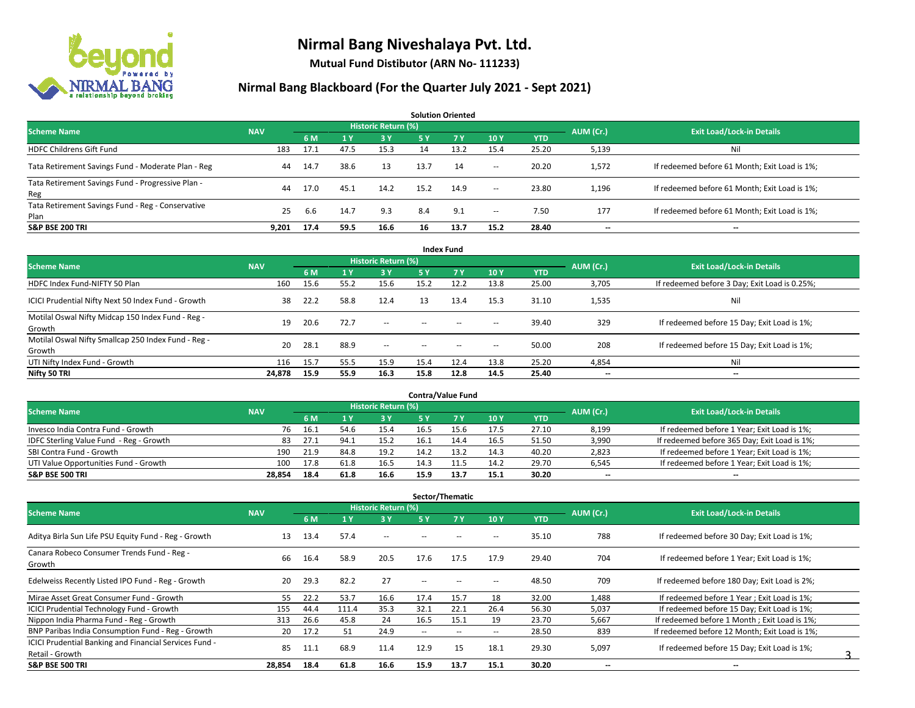

**Mutual Fund Distibutor (ARN No- 111233)**

| <b>Solution Oriented</b>                                  |            |      |      |                            |      |                |        |            |                          |                                               |  |  |  |  |
|-----------------------------------------------------------|------------|------|------|----------------------------|------|----------------|--------|------------|--------------------------|-----------------------------------------------|--|--|--|--|
| <b>Scheme Name</b>                                        | <b>NAV</b> |      |      | <b>Historic Return (%)</b> |      |                |        |            |                          | <b>Exit Load/Lock-in Details</b>              |  |  |  |  |
|                                                           |            | 6 M  | 1 Y  | 3Y                         | 5 Y  | 7 <sub>V</sub> | 10Y    | <b>YTD</b> | AUM (Cr.)                |                                               |  |  |  |  |
| <b>HDFC Childrens Gift Fund</b>                           | 183        | 17.1 | 47.5 | 15.3                       | 14   | 13.2           | 15.4   | 25.20      | 5,139                    | Nil                                           |  |  |  |  |
| Tata Retirement Savings Fund - Moderate Plan - Reg        | 44         | 14.7 | 38.6 | 13                         | 13.7 | 14             | $\sim$ | 20.20      | 1,572                    | If redeemed before 61 Month; Exit Load is 1%; |  |  |  |  |
| Tata Retirement Savings Fund - Progressive Plan -<br>Reg  | 44         | 17.0 | 45.1 | 14.2                       | 15.2 | 14.9           | $\sim$ | 23.80      | 1,196                    | If redeemed before 61 Month; Exit Load is 1%; |  |  |  |  |
| Tata Retirement Savings Fund - Reg - Conservative<br>Plan | 25         | -6.6 | 14.7 | 9.3                        | 8.4  | 9.1            | $\sim$ | 7.50       | 177                      | If redeemed before 61 Month; Exit Load is 1%; |  |  |  |  |
| <b>S&amp;P BSE 200 TRI</b>                                | 9.201      | 17.4 | 59.5 | 16.6                       | 16   | 13.7           | 15.2   | 28.40      | $\overline{\phantom{a}}$ | $-$                                           |  |  |  |  |

| <b>Index Fund</b>                                             |            |      |                |                            |        |       |                          |            |                          |                                               |  |  |  |  |
|---------------------------------------------------------------|------------|------|----------------|----------------------------|--------|-------|--------------------------|------------|--------------------------|-----------------------------------------------|--|--|--|--|
| <b>Scheme Name</b>                                            | <b>NAV</b> |      |                | <b>Historic Return (%)</b> |        |       |                          |            | AUM (Cr.)                | <b>Exit Load/Lock-in Details</b>              |  |  |  |  |
|                                                               |            | 6 M  | 1 <sub>Y</sub> | 3 Y                        | 5 Y    | 7V    | 10Y                      | <b>YTD</b> |                          |                                               |  |  |  |  |
| HDFC Index Fund-NIFTY 50 Plan                                 | 160        | 15.6 | 55.2           | 15.6                       | 15.2   | 12.2  | 13.8                     | 25.00      | 3,705                    | If redeemed before 3 Day; Exit Load is 0.25%; |  |  |  |  |
| ICICI Prudential Nifty Next 50 Index Fund - Growth            | 38         | 22.2 | 58.8           | 12.4                       | 13     | 13.4  | 15.3                     | 31.10      | 1,535                    | Nil                                           |  |  |  |  |
| Motilal Oswal Nifty Midcap 150 Index Fund - Reg -<br>Growth   | 19         | 20.6 | 72.7           | $\sim$                     | $-$    | $- -$ | $\overline{\phantom{a}}$ | 39.40      | 329                      | If redeemed before 15 Day; Exit Load is 1%;   |  |  |  |  |
| Motilal Oswal Nifty Smallcap 250 Index Fund - Reg -<br>Growth | 20         | 28.1 | 88.9           | $\sim$ $-$                 | $\sim$ | $- -$ | $\hspace{0.05cm} \cdots$ | 50.00      | 208                      | If redeemed before 15 Day; Exit Load is 1%;   |  |  |  |  |
| UTI Nifty Index Fund - Growth                                 | 116        | 15.7 | 55.5           | 15.9                       | 15.4   | 12.4  | 13.8                     | 25.20      | 4,854                    | Nil                                           |  |  |  |  |
| Nifty 50 TRI                                                  | 24,878     | 15.9 | 55.9           | 16.3                       | 15.8   | 12.8  | 14.5                     | 25.40      | $\overline{\phantom{a}}$ | $\overline{\phantom{m}}$                      |  |  |  |  |

| <b>Contra/Value Fund</b>                |            |      |      |                     |      |       |      |       |           |                                              |  |  |  |  |
|-----------------------------------------|------------|------|------|---------------------|------|-------|------|-------|-----------|----------------------------------------------|--|--|--|--|
| <b>Scheme Name</b>                      | <b>NAV</b> |      |      | Historic Return (%) |      |       |      |       | AUM (Cr.) | <b>Exit Load/Lock-in Details</b>             |  |  |  |  |
|                                         |            | 6 M  |      | 3 Y                 |      |       | 10Y  | YTD   |           |                                              |  |  |  |  |
| Invesco India Contra Fund - Growth      | 76         | 16.1 | 54.6 | 15.4                | 16.5 |       | 17.5 | 27.10 | 8,199     | If redeemed before 1 Year; Exit Load is 1%;  |  |  |  |  |
| IDFC Sterling Value Fund - Reg - Growth | 83         | 27.1 | 94.  | 15.2                | 16.1 | 14.4  | 16.5 | 51.50 | 3,990     | If redeemed before 365 Day; Exit Load is 1%; |  |  |  |  |
| SBI Contra Fund - Growth                | 190        | 21.9 | 84.8 | 19.2                | 14.2 | 1 ? ว | 14.3 | 40.20 | 2,823     | If redeemed before 1 Year; Exit Load is 1%;  |  |  |  |  |
| UTI Value Opportunities Fund - Growth   | 100        | 17.8 | 61.8 | 16.5                | 14.3 | 11.5  | 14.2 | 29.70 | 6,545     | If redeemed before 1 Year; Exit Load is 1%;  |  |  |  |  |
| <b>S&amp;P BSE 500 TRI</b>              | 28.854     | 18.4 | 61.8 | 16.6                | 15.9 | 13.7  | 15.1 | 30.20 | $- -$     | $- -$                                        |  |  |  |  |

| Sector/Thematic                                                           |            |      |       |                            |                          |        |                          |            |                          |                                               |  |  |  |
|---------------------------------------------------------------------------|------------|------|-------|----------------------------|--------------------------|--------|--------------------------|------------|--------------------------|-----------------------------------------------|--|--|--|
| <b>Scheme Name</b>                                                        | <b>NAV</b> |      |       | <b>Historic Return (%)</b> |                          |        |                          |            | AUM (Cr.)                | <b>Exit Load/Lock-in Details</b>              |  |  |  |
|                                                                           |            | 6 M  |       | 3 Y                        | <b>5Y</b>                | 7 Y    | 10Y                      | <b>YTD</b> |                          |                                               |  |  |  |
| Aditya Birla Sun Life PSU Equity Fund - Reg - Growth                      | 13         | 13.4 | 57.4  | $\overline{\phantom{a}}$   |                          |        |                          | 35.10      | 788                      | If redeemed before 30 Day; Exit Load is 1%;   |  |  |  |
| Canara Robeco Consumer Trends Fund - Reg -<br>Growth                      | 66         | 16.4 | 58.9  | 20.5                       | 17.6                     | 17.5   | 17.9                     | 29.40      | 704                      | If redeemed before 1 Year; Exit Load is 1%;   |  |  |  |
| Edelweiss Recently Listed IPO Fund - Reg - Growth                         | 20         | 29.3 | 82.2  | 27                         | --                       |        | $\overline{\phantom{a}}$ | 48.50      | 709                      | If redeemed before 180 Day; Exit Load is 2%;  |  |  |  |
| Mirae Asset Great Consumer Fund - Growth                                  | 55         | 22.2 | 53.7  | 16.6                       | 17.4                     | 15.7   | 18                       | 32.00      | 1,488                    | If redeemed before 1 Year: Exit Load is 1%:   |  |  |  |
| <b>ICICI Prudential Technology Fund - Growth</b>                          | 155        | 44.4 | 111.4 | 35.3                       | 32.1                     | 22.1   | 26.4                     | 56.30      | 5,037                    | If redeemed before 15 Day; Exit Load is 1%;   |  |  |  |
| Nippon India Pharma Fund - Reg - Growth                                   | 313        | 26.6 | 45.8  | 24                         | 16.5                     | 15.1   | 19                       | 23.70      | 5,667                    | If redeemed before 1 Month; Exit Load is 1%;  |  |  |  |
| BNP Paribas India Consumption Fund - Reg - Growth                         | 20         | 17.2 | 51    | 24.9                       | $\overline{\phantom{m}}$ | $\sim$ | $\overline{\phantom{a}}$ | 28.50      | 839                      | If redeemed before 12 Month; Exit Load is 1%; |  |  |  |
| ICICI Prudential Banking and Financial Services Fund -<br>Retail - Growth | 85         | 11.1 | 68.9  | 11.4                       | 12.9                     | 15     | 18.1                     | 29.30      | 5,097                    | If redeemed before 15 Day; Exit Load is 1%;   |  |  |  |
| <b>S&amp;P BSE 500 TRI</b>                                                | 28,854     | 18.4 | 61.8  | 16.6                       | 15.9                     | 13.7   | 15.1                     | 30.20      | $\overline{\phantom{a}}$ | $\overline{\phantom{a}}$                      |  |  |  |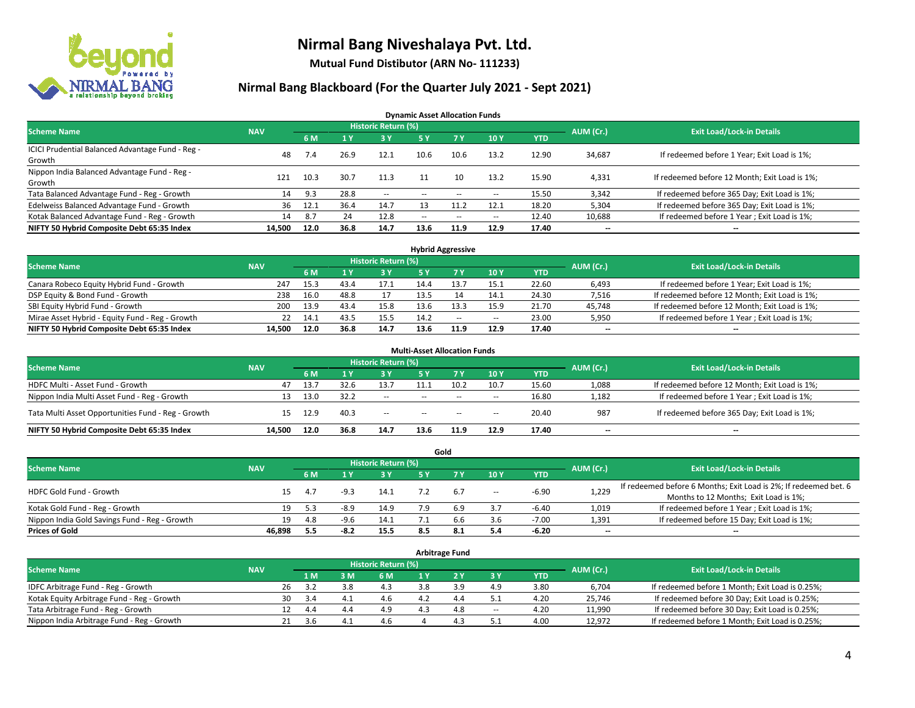

**Mutual Fund Distibutor (ARN No- 111233)**

### **Nirmal Bang Blackboard (For the Quarter July 2021 - Sept 2021)**

**Dynamic Asset Allocation Funds**

| <b>Scheme Name</b>                                         | <b>NAV</b> |      |      | <b>Historic Return (%)</b> |        |                          |       |            | AUM (Cr.)                | <b>Exit Load/Lock-in Details</b>              |
|------------------------------------------------------------|------------|------|------|----------------------------|--------|--------------------------|-------|------------|--------------------------|-----------------------------------------------|
|                                                            |            | 6 M  |      | <b>3Y</b>                  | 5 Y    | <b>7Y</b>                | 10Y   | <b>YTD</b> |                          |                                               |
| ICICI Prudential Balanced Advantage Fund - Reg -<br>Growth | 48         | 7.4  | 26.9 | 12.1                       | 10.6   | 10.6                     | 13.2  | 12.90      | 34,687                   | If redeemed before 1 Year; Exit Load is 1%;   |
| Nippon India Balanced Advantage Fund - Reg -<br>Growth     | 121        | 10.3 | 30.7 | 11.3                       |        |                          | 13.2  | 15.90      | 4,331                    | If redeemed before 12 Month; Exit Load is 1%; |
| Tata Balanced Advantage Fund - Reg - Growth                | 14         | 9.3  | 28.8 | $\sim$                     | $\sim$ | $\overline{\phantom{a}}$ | $\!-$ | 15.50      | 3,342                    | If redeemed before 365 Day; Exit Load is 1%;  |
| Edelweiss Balanced Advantage Fund - Growth                 | 36         | 12.1 | 36.4 | 14.7                       |        | 11.2                     | 12.1  | 18.20      | 5,304                    | If redeemed before 365 Day; Exit Load is 1%;  |
| Kotak Balanced Advantage Fund - Reg - Growth               | 14         | -8.7 | 24   | 12.8                       | $-$    | $\sim$                   | $\!-$ | 12.40      | 10,688                   | If redeemed before 1 Year; Exit Load is 1%;   |
| NIFTY 50 Hybrid Composite Debt 65:35 Index                 | 14,500     | 12.0 | 36.8 | 14.7                       | 13.6   | 11.9                     | 12.9  | 17.40      | $\overline{\phantom{a}}$ | --                                            |

| <b>Hybrid Aggressive</b>                        |            |      |      |                            |      |      |        |            |           |                                               |  |  |  |
|-------------------------------------------------|------------|------|------|----------------------------|------|------|--------|------------|-----------|-----------------------------------------------|--|--|--|
| <b>Scheme Name</b>                              | <b>NAV</b> |      |      | <b>Historic Return (%)</b> |      |      |        |            | AUM (Cr.) | <b>Exit Load/Lock-in Details</b>              |  |  |  |
|                                                 |            | 6 M  |      | 3 Y                        |      |      | 10Y    | <b>YTD</b> |           |                                               |  |  |  |
| Canara Robeco Equity Hybrid Fund - Growth       | 247        | 15.3 | 43.4 | 17.1                       | 14.4 |      | 15.1   | 22.60      | 6,493     | If redeemed before 1 Year; Exit Load is 1%;   |  |  |  |
| DSP Equity & Bond Fund - Growth                 | 238        | 16.0 | 48.8 |                            | 13.5 |      | 14.1   | 24.30      | 7,516     | If redeemed before 12 Month; Exit Load is 1%; |  |  |  |
| SBI Equity Hybrid Fund - Growth                 | 200        | 13.9 | 43.4 | 15.8                       | 13.6 |      | 15.9   | 21.70      | 45,748    | If redeemed before 12 Month; Exit Load is 1%; |  |  |  |
| Mirae Asset Hybrid - Equity Fund - Reg - Growth | 22         | 14.1 | 43.5 | 15.5                       | 14.2 | $-$  | $\sim$ | 23.00      | 5,950     | If redeemed before 1 Year; Exit Load is 1%;   |  |  |  |
| NIFTY 50 Hybrid Composite Debt 65:35 Index      | 14.500     | 12.0 | 36.8 | 14.7                       | 13.6 | 11.9 | 12.9   | 17.40      | $- -$     | $-$                                           |  |  |  |

| <b>Multi-Asset Allocation Funds</b>                |                                          |      |      |        |        |        |       |            |                          |                                               |  |  |  |  |  |
|----------------------------------------------------|------------------------------------------|------|------|--------|--------|--------|-------|------------|--------------------------|-----------------------------------------------|--|--|--|--|--|
| <b>Scheme Name</b>                                 | <b>Historic Return (%)</b><br><b>NAV</b> |      |      |        |        |        |       |            |                          |                                               |  |  |  |  |  |
|                                                    |                                          | 6 M  |      | 3V     | 5 Y    | 7V     | 10Y   | <b>YTD</b> | AUM (Cr.)                | <b>Exit Load/Lock-in Details</b>              |  |  |  |  |  |
| HDFC Multi - Asset Fund - Growth                   | 47                                       | 13.7 | 32.6 | 13.7   | 11.1   | 10.2   | 10.7  | 15.60      | 1,088                    | If redeemed before 12 Month; Exit Load is 1%; |  |  |  |  |  |
| Nippon India Multi Asset Fund - Reg - Growth       | 13                                       | 13.0 | 32.2 | $\sim$ | $\sim$ | $\sim$ | $\!-$ | 16.80      | 1,182                    | If redeemed before 1 Year; Exit Load is 1%;   |  |  |  |  |  |
| Tata Multi Asset Opportunities Fund - Reg - Growth | 15                                       | 12.9 | 40.3 | $\sim$ | $-$    | $\sim$ | --    | 20.40      | 987                      | If redeemed before 365 Day; Exit Load is 1%;  |  |  |  |  |  |
| NIFTY 50 Hybrid Composite Debt 65:35 Index         | 14.500                                   | 12.0 | 36.8 | 14.7   | 13.6   | 11.9   | 12.9  | 17.40      | $\overline{\phantom{a}}$ | --                                            |  |  |  |  |  |

|                                               |            |     |        |                            |     | Gold |        |            |           |                                                                  |
|-----------------------------------------------|------------|-----|--------|----------------------------|-----|------|--------|------------|-----------|------------------------------------------------------------------|
| <b>Scheme Name</b>                            | <b>NAV</b> |     |        | <b>Historic Return (%)</b> |     |      |        |            | AUM (Cr.) | <b>Exit Load/Lock-in Details</b>                                 |
|                                               |            | 6 M |        | <b>3 Y</b>                 | 5 Y |      | 10Y    | <b>YTD</b> |           |                                                                  |
| HDFC Gold Fund - Growth                       |            | 4.7 | $-9.3$ | 14.1                       |     | 6.7  |        | $-6.90$    |           | If redeemed before 6 Months; Exit Load is 2%; If redeemed bet. 6 |
|                                               | 15         |     |        |                            |     |      | $\sim$ |            | 1,229     | Months to 12 Months; Exit Load is 1%;                            |
| Kotak Gold Fund - Reg - Growth                | 19         | 5.3 | $-8.9$ | 14.9                       | 7.9 | 6.9  |        | $-6.40$    | 1,019     | If redeemed before 1 Year; Exit Load is 1%;                      |
| Nippon India Gold Savings Fund - Reg - Growth | 19         | 4.8 | -9.6   | 14.1                       |     | b.t  | 3.6    | $-7.00$    | 1,391     | If redeemed before 15 Day; Exit Load is 1%;                      |
| <b>Prices of Gold</b>                         | 46.898     | 5.5 | -8.2   | 15.5                       | 8.5 |      | 5.4    | -6.20      | $- -$     | $\overline{\phantom{a}}$                                         |

| <b>Arbitrage Fund</b>                      |            |            |                                  |       |     |  |     |        |            |        |                                                 |  |  |  |
|--------------------------------------------|------------|------------|----------------------------------|-------|-----|--|-----|--------|------------|--------|-------------------------------------------------|--|--|--|
| <b>Scheme Name</b>                         | <b>NAV</b> | AUM (Cr.)  | <b>Exit Load/Lock-in Details</b> |       |     |  |     |        |            |        |                                                 |  |  |  |
|                                            |            | 1 M        |                                  | $-3M$ | 6 M |  |     | 3 Y    | <b>YTD</b> |        |                                                 |  |  |  |
| IDFC Arbitrage Fund - Reg - Growth         |            | 26<br>3.2  |                                  | 3.8   | 4.3 |  | 3.9 | 4.9    | 3.80       | 6,704  | If redeemed before 1 Month; Exit Load is 0.25%; |  |  |  |
| Kotak Equity Arbitrage Fund - Reg - Growth |            | 30<br>-3.4 |                                  | 4.1   | 4.6 |  | 4.4 | ـ .    | 4.20       | 25,746 | If redeemed before 30 Day; Exit Load is 0.25%;  |  |  |  |
| Tata Arbitrage Fund - Reg - Growth         |            | 12<br>4.4  |                                  | 4.4   | 4.9 |  | 4.8 | $\sim$ | 4.20       | 11,990 | If redeemed before 30 Day; Exit Load is 0.25%;  |  |  |  |
| Nippon India Arbitrage Fund - Reg - Growth |            | 21<br>3 h  |                                  | Δ     | 4.6 |  | Δ   |        | 4.00       | 12,972 | If redeemed before 1 Month; Exit Load is 0.25%; |  |  |  |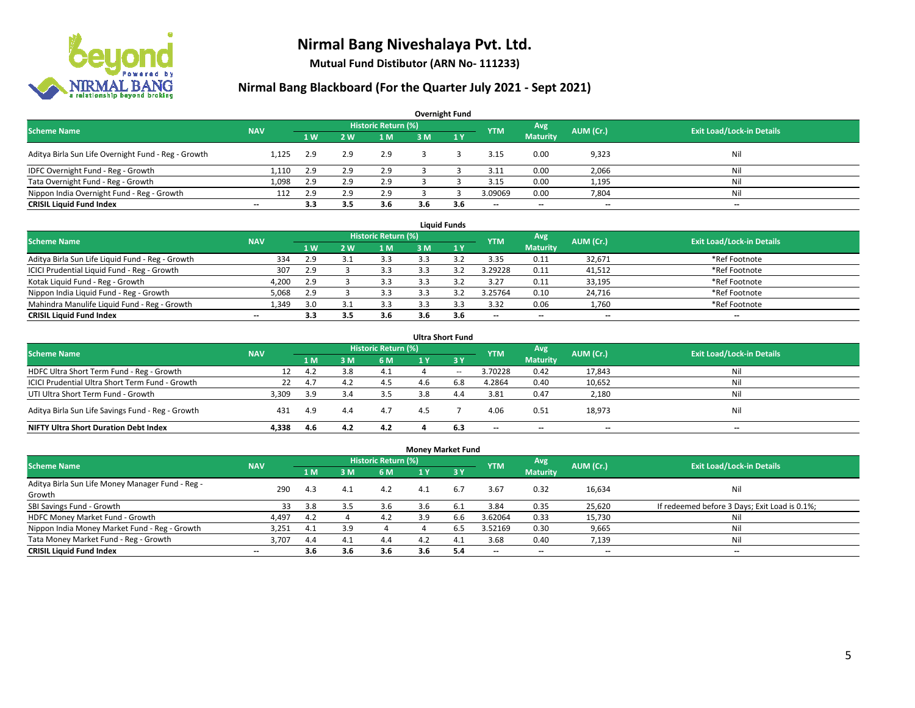

**Mutual Fund Distibutor (ARN No- 111233)**

| <b>Overnight Fund</b>                                                                                                         |                          |     |                |     |     |              |                          |                 |       |     |  |  |  |  |
|-------------------------------------------------------------------------------------------------------------------------------|--------------------------|-----|----------------|-----|-----|--------------|--------------------------|-----------------|-------|-----|--|--|--|--|
| Historic Return (%)<br>Avg<br><b>Exit Load/Lock-in Details</b><br><b>Scheme Name</b><br>AUM (Cr.)<br><b>NAV</b><br><b>YTM</b> |                          |     |                |     |     |              |                          |                 |       |     |  |  |  |  |
|                                                                                                                               |                          | 1W  | 2 <sub>w</sub> | 1 M | 3 M | $\sqrt{1}$ Y |                          | <b>Maturity</b> |       |     |  |  |  |  |
| Aditya Birla Sun Life Overnight Fund - Reg - Growth                                                                           | 1.125                    | 2.9 | 2.9            | 2.9 |     |              | 3.15                     | 0.00            | 9,323 | Nil |  |  |  |  |
| IDFC Overnight Fund - Reg - Growth                                                                                            | 1,110                    | 2.9 | 2.9            | 2.9 |     |              | 3.11                     | 0.00            | 2,066 | Nil |  |  |  |  |
| Tata Overnight Fund - Reg - Growth                                                                                            | 1,098                    | 2.9 | 2.9            | 2.9 |     |              | 3.15                     | 0.00            | 1,195 | Ni  |  |  |  |  |
| Nippon India Overnight Fund - Reg - Growth                                                                                    | 112                      | 2.9 | 2.9            | 2.9 |     |              | 3.09069                  | 0.00            | 7,804 | Ni  |  |  |  |  |
| <b>CRISIL Liquid Fund Index</b>                                                                                               | $\overline{\phantom{a}}$ | 3.3 | 3.5            | 3.6 | 3.6 | 3.6          | $\overline{\phantom{a}}$ | $- -$           | $- -$ | $-$ |  |  |  |  |

| <b>Liquid Funds</b>                              |            |     |     |                     |     |     |                          |                          |           |                                  |  |  |  |
|--------------------------------------------------|------------|-----|-----|---------------------|-----|-----|--------------------------|--------------------------|-----------|----------------------------------|--|--|--|
| <b>Scheme Name</b>                               | <b>NAV</b> |     |     | Historic Return (%) |     |     | <b>YTM</b>               | Avg                      | AUM (Cr.) | <b>Exit Load/Lock-in Details</b> |  |  |  |
|                                                  |            | 1W  | 2 W | 1 M                 | 3 M |     |                          | <b>Maturity</b>          |           |                                  |  |  |  |
| Aditya Birla Sun Life Liquid Fund - Reg - Growth | 334        | 2.9 |     | 3.3                 |     |     | 3.35                     | 0.11                     | 32.671    | *Ref Footnote                    |  |  |  |
| ICICI Prudential Liquid Fund - Reg - Growth      | 307        | 2.9 |     | 3.3                 |     |     | 3.29228                  | 0.11                     | 41,512    | *Ref Footnote                    |  |  |  |
| Kotak Liquid Fund - Reg - Growth                 | 4,200      | 2.9 |     | 3.3                 |     |     | 3.27                     | 0.11                     | 33,195    | *Ref Footnote                    |  |  |  |
| Nippon India Liquid Fund - Reg - Growth          | 5,068      | 2.9 |     | 3.3                 |     |     | 3.25764                  | 0.10                     | 24,716    | *Ref Footnote                    |  |  |  |
| Mahindra Manulife Liquid Fund - Reg - Growth     | 1.349      | 3.0 |     | 3.3                 |     |     | 3.32                     | 0.06                     | 1,760     | *Ref Footnote                    |  |  |  |
| <b>CRISIL Liquid Fund Index</b>                  | $- -$      | 3.3 | 3.5 | 3.6                 | 3.6 | 3.6 | $\overline{\phantom{a}}$ | $\overline{\phantom{a}}$ | $- -$     | $\overline{\phantom{a}}$         |  |  |  |

| <b>Ultra Short Fund</b>                                                                                                              |       |     |     |      |     |                  |                          |                          |                          |     |  |  |  |  |
|--------------------------------------------------------------------------------------------------------------------------------------|-------|-----|-----|------|-----|------------------|--------------------------|--------------------------|--------------------------|-----|--|--|--|--|
| <b>Historic Return (%)</b><br>Avg<br><b>Exit Load/Lock-in Details</b><br>AUM (Cr.)<br><b>Scheme Name</b><br><b>NAV</b><br><b>YTM</b> |       |     |     |      |     |                  |                          |                          |                          |     |  |  |  |  |
|                                                                                                                                      |       | 1 M | : M | 6 M  | 1 Y | $\overline{3}$ Y |                          | <b>Maturity</b>          |                          |     |  |  |  |  |
| HDFC Ultra Short Term Fund - Reg - Growth                                                                                            |       | 4.2 |     | -4.1 |     | $- -$            | 3.70228                  | 0.42                     | 17,843                   | Nil |  |  |  |  |
| ICICI Prudential Ultra Short Term Fund - Growth                                                                                      | 22    | 4.7 | 4.Z | 4.5  |     | 6.8              | 4.2864                   | 0.40                     | 10,652                   | Nil |  |  |  |  |
| UTI Ultra Short Term Fund - Growth                                                                                                   | 3,309 | 3.9 |     | 3.5  | 3.8 | 4.4              | 3.81                     | 0.47                     | 2,180                    | Nil |  |  |  |  |
| Aditya Birla Sun Life Savings Fund - Reg - Growth                                                                                    | 431   | 4.9 | 4.4 | 4.7  | 4.5 |                  | 4.06                     | 0.51                     | 18,973                   | Nil |  |  |  |  |
| <b>NIFTY Ultra Short Duration Debt Index</b>                                                                                         | 4.338 | 4.6 | 4.2 | 4.2  |     | 6.3              | $\overline{\phantom{a}}$ | $\overline{\phantom{a}}$ | $\overline{\phantom{a}}$ | $-$ |  |  |  |  |

| <b>Money Market Fund</b>                         |            |                |     |                     |      |             |                          |                          |                          |                                               |  |  |  |  |
|--------------------------------------------------|------------|----------------|-----|---------------------|------|-------------|--------------------------|--------------------------|--------------------------|-----------------------------------------------|--|--|--|--|
| <b>Scheme Name</b>                               | <b>NAV</b> |                |     | Historic Return (%) |      |             | <b>YTM</b>               | Avg                      | AUM (Cr.)                | <b>Exit Load/Lock-in Details</b>              |  |  |  |  |
|                                                  |            | 1 <sub>M</sub> | в м | 6 M                 | 71 Y | <b>73 Y</b> |                          | <b>Maturity</b>          |                          |                                               |  |  |  |  |
| Aditya Birla Sun Life Money Manager Fund - Reg - | 290        | 4.3            | 4.1 | 4.2                 | 4.1  | 6.7         | 3.67                     | 0.32                     | 16,634                   | Nil                                           |  |  |  |  |
| Growth                                           |            |                |     |                     |      |             |                          |                          |                          |                                               |  |  |  |  |
| SBI Savings Fund - Growth                        | 33         | 3.8            |     | 3.6                 |      | 6.1         | 3.84                     | 0.35                     | 25,620                   | If redeemed before 3 Days; Exit Load is 0.1%; |  |  |  |  |
| HDFC Money Market Fund - Growth                  | 4,497      | 4.2            |     | 4.2                 | 3.9  | 6.6         | 3.62064                  | 0.33                     | 15,730                   | Nil                                           |  |  |  |  |
| Nippon India Money Market Fund - Reg - Growth    | 3,251      | 4.1            | 3.9 |                     |      | 6.5         | 3.52169                  | 0.30                     | 9,665                    | Ni                                            |  |  |  |  |
| Tata Money Market Fund - Reg - Growth            | 3,707      | 4.4            | 4.1 | 4.4                 | 4.2  | 4.1         | 3.68                     | 0.40                     | 7,139                    | Nil                                           |  |  |  |  |
| <b>CRISIL Liquid Fund Index</b>                  | $- -$      | 3.6            | 3.6 | 3.6                 | 3.6  | 5.4         | $\overline{\phantom{a}}$ | $\overline{\phantom{a}}$ | $\overline{\phantom{a}}$ | $-$                                           |  |  |  |  |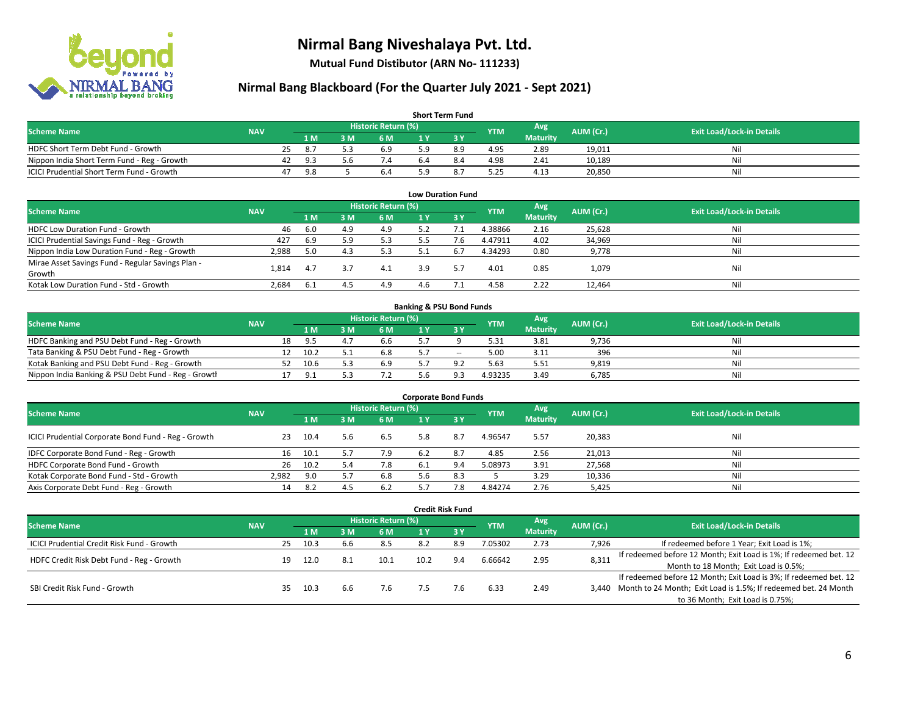

**Mutual Fund Distibutor (ARN No- 111233)**

| <b>Short Term Fund</b>                           |            |    |      |     |                     |  |     |            |                 |           |                                  |  |  |  |
|--------------------------------------------------|------------|----|------|-----|---------------------|--|-----|------------|-----------------|-----------|----------------------------------|--|--|--|
| <b>Scheme Name</b>                               | <b>NAV</b> |    |      |     | Historic Return (%) |  |     | <b>YTM</b> | Avg             | AUM (Cr.) | <b>Exit Load/Lock-in Details</b> |  |  |  |
|                                                  |            |    | 1 M  | 3 M | 6 M                 |  |     |            | <b>Maturity</b> |           |                                  |  |  |  |
| HDFC Short Term Debt Fund - Growth               |            | 25 | -8.7 |     | 6.9                 |  | 8.9 | 4.95       | 2.89            | 19.011    | Nil                              |  |  |  |
| Nippon India Short Term Fund - Reg - Growth      |            | 42 | 9.3  | 5.6 | $\lambda$ .4        |  | 8.4 | 4.98       | 2.41            | 10.189    | Nil                              |  |  |  |
| <b>ICICI Prudential Short Term Fund - Growth</b> |            | 47 | 9.8  |     | 6.4                 |  |     | 5.25       | 4.13            | 20,850    | Nil                              |  |  |  |

| <b>Low Duration Fund</b>                          |                                                                                                                                      |      |     |     |     |      |         |                 |        |     |  |  |  |  |  |
|---------------------------------------------------|--------------------------------------------------------------------------------------------------------------------------------------|------|-----|-----|-----|------|---------|-----------------|--------|-----|--|--|--|--|--|
|                                                   | <b>Historic Return (%)</b><br>Avg<br><b>Exit Load/Lock-in Details</b><br>AUM (Cr.)<br><b>Scheme Name</b><br><b>NAV</b><br><b>YTM</b> |      |     |     |     |      |         |                 |        |     |  |  |  |  |  |
|                                                   |                                                                                                                                      | 1 M  | 3 M | 6 M |     | -3 Y |         | <b>Maturity</b> |        |     |  |  |  |  |  |
| HDFC Low Duration Fund - Growth                   | 46                                                                                                                                   | -6.0 | 4.9 | 4.9 | 5.2 |      | 4.38866 | 2.16            | 25,628 | Nil |  |  |  |  |  |
| ICICI Prudential Savings Fund - Reg - Growth      | 427                                                                                                                                  | 6.9  | 5.9 | 5.3 | 5.5 | 7.6  | 4.47911 | 4.02            | 34,969 | Nil |  |  |  |  |  |
| Nippon India Low Duration Fund - Reg - Growth     | 2,988                                                                                                                                | 5.0  | 4.3 | 5.3 | 5.1 | 6.7  | 4.34293 | 0.80            | 9,778  | Nil |  |  |  |  |  |
| Mirae Asset Savings Fund - Regular Savings Plan - | 1.814                                                                                                                                |      |     | 4.1 | 3.9 |      | 4.01    | 0.85            | 1,079  | Nil |  |  |  |  |  |
| Growth                                            |                                                                                                                                      | 4.7  |     |     |     |      |         |                 |        |     |  |  |  |  |  |
| Kotak Low Duration Fund - Std - Growth            | 2,684                                                                                                                                | -6.1 | 4.5 | 4.9 | 4.6 |      | 4.58    | 2.22            | 12,464 | Nil |  |  |  |  |  |

| <b>Banking &amp; PSU Bond Funds</b>                                                                                                  |  |    |      |     |     |  |       |         |                 |       |     |  |  |  |
|--------------------------------------------------------------------------------------------------------------------------------------|--|----|------|-----|-----|--|-------|---------|-----------------|-------|-----|--|--|--|
| <b>Historic Return (%)</b><br>Avg<br>AUM (Cr.)<br><b>Scheme Name</b><br><b>Exit Load/Lock-in Details</b><br><b>NAV</b><br><b>YTM</b> |  |    |      |     |     |  |       |         |                 |       |     |  |  |  |
|                                                                                                                                      |  |    | 1 M  | . M | 6 M |  |       |         | <b>Maturity</b> |       |     |  |  |  |
| HDFC Banking and PSU Debt Fund - Reg - Growth                                                                                        |  | 18 | 9.5  | 4., | 6.6 |  |       | 5.31    | 3.81            | 9,736 | Nil |  |  |  |
| Tata Banking & PSU Debt Fund - Reg - Growth                                                                                          |  |    | 10.2 |     | 6.8 |  | $- -$ | 5.00    | 3.11            | 396   | Nil |  |  |  |
| Kotak Banking and PSU Debt Fund - Reg - Growth                                                                                       |  | 52 | 10.6 |     | 6.9 |  | Q     | 5.63    | 5.51            | 9,819 | Nil |  |  |  |
| Nippon India Banking & PSU Debt Fund - Reg - Growth                                                                                  |  |    | O 1  |     |     |  |       | 4.93235 | 3.49            | 6.785 | Nil |  |  |  |

| <b>Corporate Bond Funds</b>                         |            |      |     |                     |     |      |            |                 |           |                                  |  |
|-----------------------------------------------------|------------|------|-----|---------------------|-----|------|------------|-----------------|-----------|----------------------------------|--|
| <b>Scheme Name</b>                                  | <b>NAV</b> |      |     | Historic Return (%) |     |      | <b>YTM</b> | Avg             | AUM (Cr.) | <b>Exit Load/Lock-in Details</b> |  |
|                                                     |            | 1 M  | з м | 6 M                 |     | -3 Y |            | <b>Maturity</b> |           |                                  |  |
| ICICI Prudential Corporate Bond Fund - Reg - Growth | 23         | 10.4 | 5.6 | 6.5                 | 5.8 | 8.7  | 4.96547    | 5.57            | 20,383    | Nil                              |  |
| IDFC Corporate Bond Fund - Reg - Growth             | 16         | 10.1 |     | 7.9                 | 6.2 | 8.7  | 4.85       | 2.56            | 21,013    | Nil                              |  |
| HDFC Corporate Bond Fund - Growth                   | 26         | 10.2 |     | 7.8                 | 6.1 |      | 5.08973    | 3.91            | 27,568    | Nil                              |  |
| Kotak Corporate Bond Fund - Std - Growth            | 2.982      | 9.0  |     | 6.8                 | 5.6 |      |            | 3.29            | 10,336    | Nil                              |  |
| Axis Corporate Debt Fund - Reg - Growth             | 14         | 8.2  |     | 6.2                 |     | 7.8  | 4.84274    | 2.76            | 5,425     | Nil                              |  |

| <b>Credit Risk Fund</b>                           |            |                            |      |     |      |      |     |            |                 |           |                                                                       |
|---------------------------------------------------|------------|----------------------------|------|-----|------|------|-----|------------|-----------------|-----------|-----------------------------------------------------------------------|
| <b>Scheme Name</b>                                | <b>NAV</b> | <b>Historic Return (%)</b> |      |     |      |      |     | <b>YTM</b> | Avg             | AUM (Cr.) | <b>Exit Load/Lock-in Details</b>                                      |
|                                                   |            |                            | 1 M  | ١M  | 6 M  |      | '3V |            | <b>Maturity</b> |           |                                                                       |
| <b>ICICI Prudential Credit Risk Fund - Growth</b> |            | 25                         | 10.3 | 6.6 | 8.5  | 8.2  | 8.9 | 7.05302    | 2.73            | 7,926     | If redeemed before 1 Year; Exit Load is 1%;                           |
| HDFC Credit Risk Debt Fund - Reg - Growth         |            | 19                         | 12.0 | 8.1 | 10.1 | 10.2 | 9.4 | 6.66642    | 2.95            | 8,311     | If redeemed before 12 Month; Exit Load is 1%; If redeemed bet. 12     |
|                                                   |            |                            |      |     |      |      |     |            |                 |           | Month to 18 Month; Exit Load is 0.5%;                                 |
|                                                   |            |                            |      |     |      |      |     |            |                 |           | If redeemed before 12 Month; Exit Load is 3%; If redeemed bet. 12     |
| SBI Credit Risk Fund - Growth                     |            | 35                         | 10.3 | b.b | 7.6  | 7.5  | 7.6 | 6.33       | 2.49            |           | 3,440 Month to 24 Month; Exit Load is 1.5%; If redeemed bet. 24 Month |
|                                                   |            |                            |      |     |      |      |     |            |                 |           | to 36 Month; Exit Load is 0.75%;                                      |